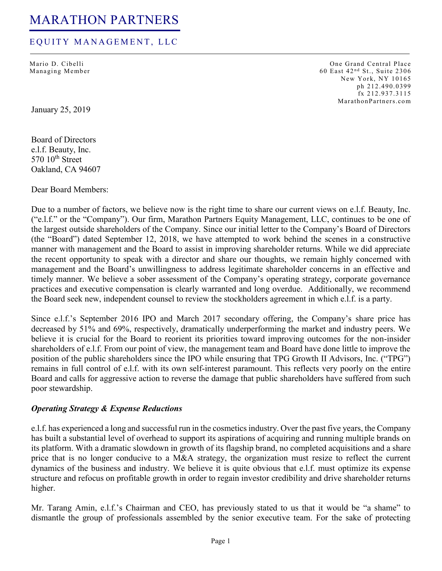### EQUITY MANAGEMENT, LLC

Mario D. Cibelli Managing Member

One Grand Central Place 60 East 42<sup>nd</sup> St., Suite 2306 New York, NY 10165 ph 212.490.0399 fx 212.937.3115 MarathonPartners.co m

January 25, 2019

Board of Directors e.l.f. Beauty, Inc.  $570$   $10^{th}$  Street Oakland, CA 94607

Dear Board Members:

Due to a number of factors, we believe now is the right time to share our current views on e.l.f. Beauty, Inc. ("e.l.f." or the "Company"). Our firm, Marathon Partners Equity Management, LLC, continues to be one of the largest outside shareholders of the Company. Since our initial letter to the Company's Board of Directors (the "Board") dated September 12, 2018, we have attempted to work behind the scenes in a constructive manner with management and the Board to assist in improving shareholder returns. While we did appreciate the recent opportunity to speak with a director and share our thoughts, we remain highly concerned with management and the Board's unwillingness to address legitimate shareholder concerns in an effective and timely manner. We believe a sober assessment of the Company's operating strategy, corporate governance practices and executive compensation is clearly warranted and long overdue. Additionally, we recommend the Board seek new, independent counsel to review the stockholders agreement in which e.l.f. is a party.

Since e.l.f.'s September 2016 IPO and March 2017 secondary offering, the Company's share price has decreased by 51% and 69%, respectively, dramatically underperforming the market and industry peers. We believe it is crucial for the Board to reorient its priorities toward improving outcomes for the non-insider shareholders of e.l.f. From our point of view, the management team and Board have done little to improve the position of the public shareholders since the IPO while ensuring that TPG Growth II Advisors, Inc. ("TPG") remains in full control of e.l.f. with its own self-interest paramount. This reflects very poorly on the entire Board and calls for aggressive action to reverse the damage that public shareholders have suffered from such poor stewardship.

#### *Operating Strategy & Expense Reductions*

e.l.f. has experienced a long and successful run in the cosmetics industry. Over the past five years, the Company has built a substantial level of overhead to support its aspirations of acquiring and running multiple brands on its platform. With a dramatic slowdown in growth of its flagship brand, no completed acquisitions and a share price that is no longer conducive to a M&A strategy, the organization must resize to reflect the current dynamics of the business and industry. We believe it is quite obvious that e.l.f. must optimize its expense structure and refocus on profitable growth in order to regain investor credibility and drive shareholder returns higher.

Mr. Tarang Amin, e.l.f.'s Chairman and CEO, has previously stated to us that it would be "a shame" to dismantle the group of professionals assembled by the senior executive team. For the sake of protecting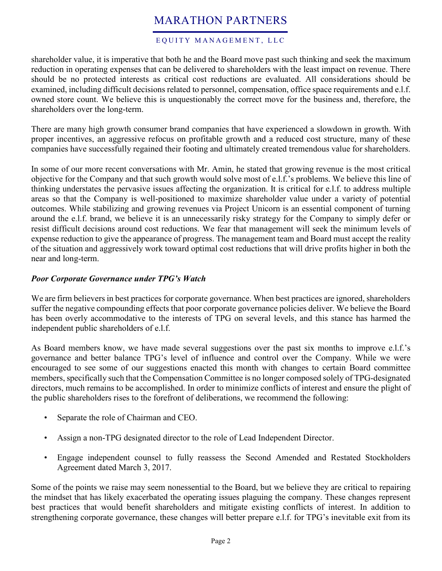### EQUITY MANAGEMENT, LLC

shareholder value, it is imperative that both he and the Board move past such thinking and seek the maximum reduction in operating expenses that can be delivered to shareholders with the least impact on revenue. There should be no protected interests as critical cost reductions are evaluated. All considerations should be examined, including difficult decisions related to personnel, compensation, office space requirements and e.l.f. owned store count. We believe this is unquestionably the correct move for the business and, therefore, the shareholders over the long-term.

There are many high growth consumer brand companies that have experienced a slowdown in growth. With proper incentives, an aggressive refocus on profitable growth and a reduced cost structure, many of these companies have successfully regained their footing and ultimately created tremendous value for shareholders.

In some of our more recent conversations with Mr. Amin, he stated that growing revenue is the most critical objective for the Company and that such growth would solve most of e.l.f.'s problems. We believe this line of thinking understates the pervasive issues affecting the organization. It is critical for e.l.f. to address multiple areas so that the Company is well-positioned to maximize shareholder value under a variety of potential outcomes. While stabilizing and growing revenues via Project Unicorn is an essential component of turning around the e.l.f. brand, we believe it is an unnecessarily risky strategy for the Company to simply defer or resist difficult decisions around cost reductions. We fear that management will seek the minimum levels of expense reduction to give the appearance of progress. The management team and Board must accept the reality of the situation and aggressively work toward optimal cost reductions that will drive profits higher in both the near and long-term.

### *Poor Corporate Governance under TPG's Watch*

We are firm believers in best practices for corporate governance. When best practices are ignored, shareholders suffer the negative compounding effects that poor corporate governance policies deliver. We believe the Board has been overly accommodative to the interests of TPG on several levels, and this stance has harmed the independent public shareholders of e.l.f.

As Board members know, we have made several suggestions over the past six months to improve e.l.f.'s governance and better balance TPG's level of influence and control over the Company. While we were encouraged to see some of our suggestions enacted this month with changes to certain Board committee members, specifically such that the Compensation Committee is no longer composed solely of TPG-designated directors, much remains to be accomplished. In order to minimize conflicts of interest and ensure the plight of the public shareholders rises to the forefront of deliberations, we recommend the following:

- Separate the role of Chairman and CEO.
- Assign a non-TPG designated director to the role of Lead Independent Director.
- Engage independent counsel to fully reassess the Second Amended and Restated Stockholders Agreement dated March 3, 2017.

Some of the points we raise may seem nonessential to the Board, but we believe they are critical to repairing the mindset that has likely exacerbated the operating issues plaguing the company. These changes represent best practices that would benefit shareholders and mitigate existing conflicts of interest. In addition to strengthening corporate governance, these changes will better prepare e.l.f. for TPG's inevitable exit from its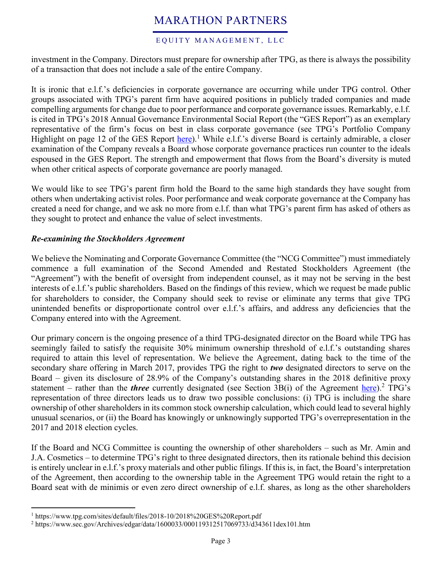#### EQUITY MANAGEMENT, LLC

investment in the Company. Directors must prepare for ownership after TPG, as there is always the possibility of a transaction that does not include a sale of the entire Company.

It is ironic that e.l.f.'s deficiencies in corporate governance are occurring while under TPG control. Other groups associated with TPG's parent firm have acquired positions in publicly traded companies and made compelling arguments for change due to poor performance and corporate governance issues. Remarkably, e.l.f. is cited in TPG's 2018 Annual Governance Environmental Social Report (the "GES Report") as an exemplary representative of the firm's focus on best in class corporate governance (see TPG's Portfolio Company Highlight on page 12 of the GES Report [here\)](https://www.tpg.com/sites/default/files/2018-10/2018%20GES%20Report.pdf).<sup>1</sup> While e.l.f.'s diverse Board is certainly admirable, a closer examination of the Company reveals a Board whose corporate governance practices run counter to the ideals espoused in the GES Report. The strength and empowerment that flows from the Board's diversity is muted when other critical aspects of corporate governance are poorly managed.

We would like to see TPG's parent firm hold the Board to the same high standards they have sought from others when undertaking activist roles. Poor performance and weak corporate governance at the Company has created a need for change, and we ask no more from e.l.f. than what TPG's parent firm has asked of others as they sought to protect and enhance the value of select investments.

### *Re-examining the Stockholders Agreement*

We believe the Nominating and Corporate Governance Committee (the "NCG Committee") must immediately commence a full examination of the Second Amended and Restated Stockholders Agreement (the "Agreement") with the benefit of oversight from independent counsel, as it may not be serving in the best interests of e.l.f.'s public shareholders. Based on the findings of this review, which we request be made public for shareholders to consider, the Company should seek to revise or eliminate any terms that give TPG unintended benefits or disproportionate control over e.l.f.'s affairs, and address any deficiencies that the Company entered into with the Agreement.

Our primary concern is the ongoing presence of a third TPG-designated director on the Board while TPG has seemingly failed to satisfy the requisite 30% minimum ownership threshold of e.l.f.'s outstanding shares required to attain this level of representation. We believe the Agreement, dating back to the time of the secondary share offering in March 2017, provides TPG the right to *two* designated directors to serve on the Board – given its disclosure of 28.9% of the Company's outstanding shares in the 2018 definitive proxy statement – rather than the *three* currently designated (see Section 3B(i) of the Agreement [here\)](https://www.sec.gov/Archives/edgar/data/1600033/000119312517069733/d343611dex101.htm).<sup>2</sup> TPG's representation of three directors leads us to draw two possible conclusions: (i) TPG is including the share ownership of other shareholders in its common stock ownership calculation, which could lead to several highly unusual scenarios, or (ii) the Board has knowingly or unknowingly supported TPG's overrepresentation in the 2017 and 2018 election cycles.

If the Board and NCG Committee is counting the ownership of other shareholders – such as Mr. Amin and J.A. Cosmetics – to determine TPG's right to three designated directors, then its rationale behind this decision is entirely unclear in e.l.f.'s proxy materials and other public filings. If this is, in fact, the Board's interpretation of the Agreement, then according to the ownership table in the Agreement TPG would retain the right to a Board seat with de minimis or even zero direct ownership of e.l.f. shares, as long as the other shareholders

 $\overline{a}$ 

<sup>&</sup>lt;sup>1</sup> https://www.tpg.com/sites/default/files/2018-10/2018%20GES%20Report.pdf

<sup>2</sup> https://www.sec.gov/Archives/edgar/data/1600033/000119312517069733/d343611dex101.htm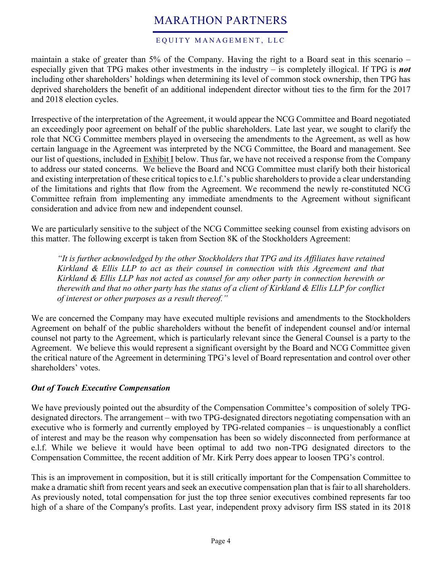#### EQUITY MANAGEMENT, LLC

maintain a stake of greater than 5% of the Company. Having the right to a Board seat in this scenario – especially given that TPG makes other investments in the industry – is completely illogical. If TPG is *not* including other shareholders' holdings when determining its level of common stock ownership, then TPG has deprived shareholders the benefit of an additional independent director without ties to the firm for the 2017 and 2018 election cycles.

Irrespective of the interpretation of the Agreement, it would appear the NCG Committee and Board negotiated an exceedingly poor agreement on behalf of the public shareholders. Late last year, we sought to clarify the role that NCG Committee members played in overseeing the amendments to the Agreement, as well as how certain language in the Agreement was interpreted by the NCG Committee, the Board and management. See our list of questions, included in Exhibit I below. Thus far, we have not received a response from the Company to address our stated concerns. We believe the Board and NCG Committee must clarify both their historical and existing interpretation of these critical topics to e.l.f.'s public shareholders to provide a clear understanding of the limitations and rights that flow from the Agreement. We recommend the newly re-constituted NCG Committee refrain from implementing any immediate amendments to the Agreement without significant consideration and advice from new and independent counsel.

We are particularly sensitive to the subject of the NCG Committee seeking counsel from existing advisors on this matter. The following excerpt is taken from Section 8K of the Stockholders Agreement:

*"It is further acknowledged by the other Stockholders that TPG and its Affiliates have retained Kirkland & Ellis LLP to act as their counsel in connection with this Agreement and that Kirkland & Ellis LLP has not acted as counsel for any other party in connection herewith or therewith and that no other party has the status of a client of Kirkland & Ellis LLP for conflict of interest or other purposes as a result thereof."*

We are concerned the Company may have executed multiple revisions and amendments to the Stockholders Agreement on behalf of the public shareholders without the benefit of independent counsel and/or internal counsel not party to the Agreement, which is particularly relevant since the General Counsel is a party to the Agreement. We believe this would represent a significant oversight by the Board and NCG Committee given the critical nature of the Agreement in determining TPG's level of Board representation and control over other shareholders' votes.

### *Out of Touch Executive Compensation*

We have previously pointed out the absurdity of the Compensation Committee's composition of solely TPGdesignated directors. The arrangement – with two TPG-designated directors negotiating compensation with an executive who is formerly and currently employed by TPG-related companies – is unquestionably a conflict of interest and may be the reason why compensation has been so widely disconnected from performance at e.l.f. While we believe it would have been optimal to add two non-TPG designated directors to the Compensation Committee, the recent addition of Mr. Kirk Perry does appear to loosen TPG's control.

This is an improvement in composition, but it is still critically important for the Compensation Committee to make a dramatic shift from recent years and seek an executive compensation plan that is fair to all shareholders. As previously noted, total compensation for just the top three senior executives combined represents far too high of a share of the Company's profits. Last year, independent proxy advisory firm ISS stated in its 2018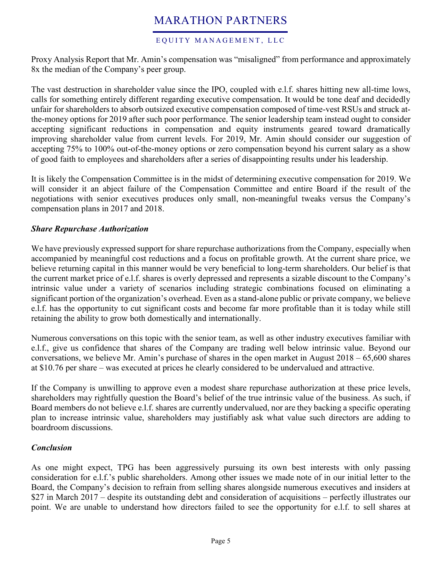### EQUITY MANAGEMENT, LLC

Proxy Analysis Report that Mr. Amin's compensation was "misaligned" from performance and approximately 8x the median of the Company's peer group.

The vast destruction in shareholder value since the IPO, coupled with e.l.f. shares hitting new all-time lows, calls for something entirely different regarding executive compensation. It would be tone deaf and decidedly unfair for shareholders to absorb outsized executive compensation composed of time-vest RSUs and struck atthe-money options for 2019 after such poor performance. The senior leadership team instead ought to consider accepting significant reductions in compensation and equity instruments geared toward dramatically improving shareholder value from current levels. For 2019, Mr. Amin should consider our suggestion of accepting 75% to 100% out-of-the-money options or zero compensation beyond his current salary as a show of good faith to employees and shareholders after a series of disappointing results under his leadership.

It is likely the Compensation Committee is in the midst of determining executive compensation for 2019. We will consider it an abject failure of the Compensation Committee and entire Board if the result of the negotiations with senior executives produces only small, non-meaningful tweaks versus the Company's compensation plans in 2017 and 2018.

### *Share Repurchase Authorization*

We have previously expressed support for share repurchase authorizations from the Company, especially when accompanied by meaningful cost reductions and a focus on profitable growth. At the current share price, we believe returning capital in this manner would be very beneficial to long-term shareholders. Our belief is that the current market price of e.l.f. shares is overly depressed and represents a sizable discount to the Company's intrinsic value under a variety of scenarios including strategic combinations focused on eliminating a significant portion of the organization's overhead. Even as a stand-alone public or private company, we believe e.l.f. has the opportunity to cut significant costs and become far more profitable than it is today while still retaining the ability to grow both domestically and internationally.

Numerous conversations on this topic with the senior team, as well as other industry executives familiar with e.l.f., give us confidence that shares of the Company are trading well below intrinsic value. Beyond our conversations, we believe Mr. Amin's purchase of shares in the open market in August 2018 – 65,600 shares at \$10.76 per share – was executed at prices he clearly considered to be undervalued and attractive.

If the Company is unwilling to approve even a modest share repurchase authorization at these price levels, shareholders may rightfully question the Board's belief of the true intrinsic value of the business. As such, if Board members do not believe e.l.f. shares are currently undervalued, nor are they backing a specific operating plan to increase intrinsic value, shareholders may justifiably ask what value such directors are adding to boardroom discussions.

### *Conclusion*

As one might expect, TPG has been aggressively pursuing its own best interests with only passing consideration for e.l.f.'s public shareholders. Among other issues we made note of in our initial letter to the Board, the Company's decision to refrain from selling shares alongside numerous executives and insiders at \$27 in March 2017 – despite its outstanding debt and consideration of acquisitions – perfectly illustrates our point. We are unable to understand how directors failed to see the opportunity for e.l.f. to sell shares at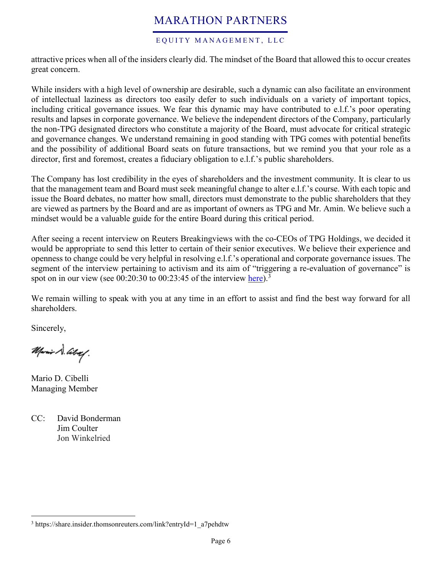#### EQUITY MANAGEMENT, LLC

attractive prices when all of the insiders clearly did. The mindset of the Board that allowed this to occur creates great concern.

While insiders with a high level of ownership are desirable, such a dynamic can also facilitate an environment of intellectual laziness as directors too easily defer to such individuals on a variety of important topics, including critical governance issues. We fear this dynamic may have contributed to e.l.f.'s poor operating results and lapses in corporate governance. We believe the independent directors of the Company, particularly the non-TPG designated directors who constitute a majority of the Board, must advocate for critical strategic and governance changes. We understand remaining in good standing with TPG comes with potential benefits and the possibility of additional Board seats on future transactions, but we remind you that your role as a director, first and foremost, creates a fiduciary obligation to e.l.f.'s public shareholders.

The Company has lost credibility in the eyes of shareholders and the investment community. It is clear to us that the management team and Board must seek meaningful change to alter e.l.f.'s course. With each topic and issue the Board debates, no matter how small, directors must demonstrate to the public shareholders that they are viewed as partners by the Board and are as important of owners as TPG and Mr. Amin. We believe such a mindset would be a valuable guide for the entire Board during this critical period.

After seeing a recent interview on Reuters Breakingviews with the co-CEOs of TPG Holdings, we decided it would be appropriate to send this letter to certain of their senior executives. We believe their experience and openness to change could be very helpful in resolving e.l.f.'s operational and corporate governance issues. The segment of the interview pertaining to activism and its aim of "triggering a re-evaluation of governance" is spot on in our view (see  $00:20:30$  to  $00:23:45$  of the interview [here\)](https://share.insider.thomsonreuters.com/link?entryId=1_a7pehdtw).<sup>3</sup>

We remain willing to speak with you at any time in an effort to assist and find the best way forward for all shareholders.

Sincerely,

 $\overline{a}$ 

Mario S. Alog!

Mario D. Cibelli Managing Member

CC: David Bonderman Jim Coulter Jon Winkelried

<sup>&</sup>lt;sup>3</sup> https://share.insider.thomsonreuters.com/link?entryId=1\_a7pehdtw